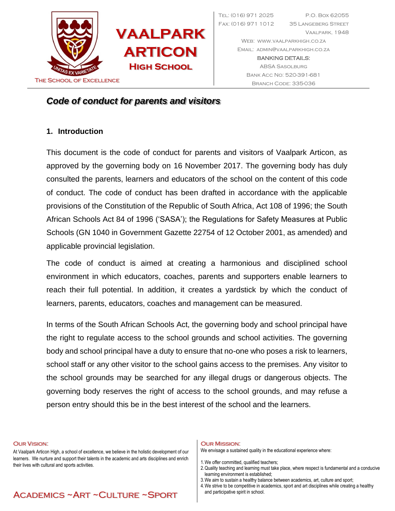

Tel: (016) 971 2025 P.O. Box 62055 Fax: (016) 971 1012 35 Langeberg Street Vaalpark, 1948 Web: [www.vaalparkhigh.co.za](http://www.vaalparkhigh.co.za/) Email: [admin@vaalparkhigh.co.za](mailto:admin@vaalparkhigh.co.za) BANKING DETAILS: ABSA Sasolburg Bank Acc No: 520-391-681

# *Code of conduct for parents and visitors*

## **1. Introduction**

This document is the code of conduct for parents and visitors of Vaalpark Articon, as approved by the governing body on 16 November 2017. The governing body has duly consulted the parents, learners and educators of the school on the content of this code of conduct. The code of conduct has been drafted in accordance with the applicable provisions of the Constitution of the Republic of South Africa, Act 108 of 1996; the South African Schools Act 84 of 1996 ('SASA'); the Regulations for Safety Measures at Public Schools (GN 1040 in Government Gazette 22754 of 12 October 2001, as amended) and applicable provincial legislation.

The code of conduct is aimed at creating a harmonious and disciplined school environment in which educators, coaches, parents and supporters enable learners to reach their full potential. In addition, it creates a yardstick by which the conduct of learners, parents, educators, coaches and management can be measured.

In terms of the South African Schools Act, the governing body and school principal have the right to regulate access to the school grounds and school activities. The governing body and school principal have a duty to ensure that no-one who poses a risk to learners, school staff or any other visitor to the school gains access to the premises. Any visitor to the school grounds may be searched for any illegal drugs or dangerous objects. The governing body reserves the right of access to the school grounds, and may refuse a person entry should this be in the best interest of the school and the learners.

#### Our Vision:

At Vaalpark Articon High, a school of excellence, we believe in the holistic development of our learners. We nurture and support their talents in the academic and arts disciplines and enrich their lives with cultural and sports activities.

Academics ~Art ~Culture ~Sport

#### Our Mission:

We envisage a sustained quality in the educational experience where:

1.We offer committed, qualified teachers;

- 2.Quality teaching and learning must take place, where respect is fundamental and a conducive learning environment is established;
	- 3.We aim to sustain a healthy balance between academics, art, culture and sport;
	- 4.We strive to be competitive in academics, sport and art disciplines while creating a healthy and participative spirit in school.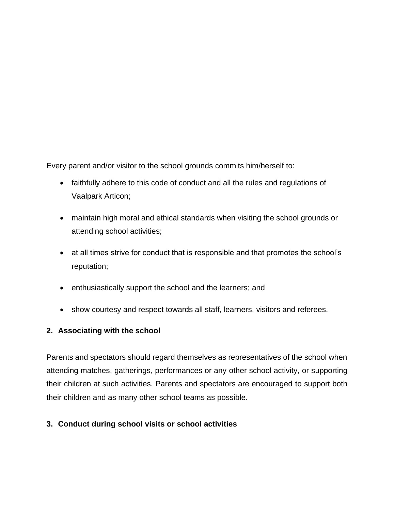Every parent and/or visitor to the school grounds commits him/herself to:

- faithfully adhere to this code of conduct and all the rules and regulations of Vaalpark Articon;
- maintain high moral and ethical standards when visiting the school grounds or attending school activities;
- at all times strive for conduct that is responsible and that promotes the school's reputation;
- enthusiastically support the school and the learners; and
- show courtesy and respect towards all staff, learners, visitors and referees.

### **2. Associating with the school**

Parents and spectators should regard themselves as representatives of the school when attending matches, gatherings, performances or any other school activity, or supporting their children at such activities. Parents and spectators are encouraged to support both their children and as many other school teams as possible.

### **3. Conduct during school visits or school activities**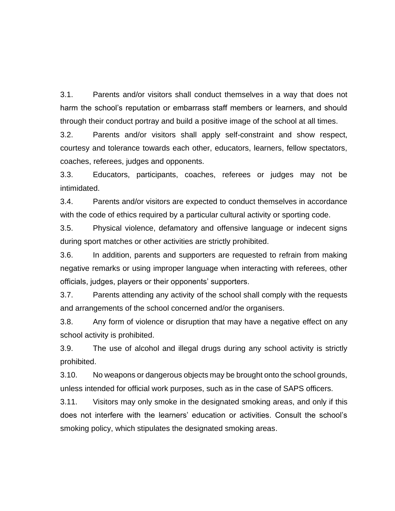3.1. Parents and/or visitors shall conduct themselves in a way that does not harm the school's reputation or embarrass staff members or learners, and should through their conduct portray and build a positive image of the school at all times.

3.2. Parents and/or visitors shall apply self-constraint and show respect, courtesy and tolerance towards each other, educators, learners, fellow spectators, coaches, referees, judges and opponents.

3.3. Educators, participants, coaches, referees or judges may not be intimidated.

3.4. Parents and/or visitors are expected to conduct themselves in accordance with the code of ethics required by a particular cultural activity or sporting code.

3.5. Physical violence, defamatory and offensive language or indecent signs during sport matches or other activities are strictly prohibited.

3.6. In addition, parents and supporters are requested to refrain from making negative remarks or using improper language when interacting with referees, other officials, judges, players or their opponents' supporters.

3.7. Parents attending any activity of the school shall comply with the requests and arrangements of the school concerned and/or the organisers.

3.8. Any form of violence or disruption that may have a negative effect on any school activity is prohibited.

3.9. The use of alcohol and illegal drugs during any school activity is strictly prohibited.

3.10. No weapons or dangerous objects may be brought onto the school grounds, unless intended for official work purposes, such as in the case of SAPS officers.

3.11. Visitors may only smoke in the designated smoking areas, and only if this does not interfere with the learners' education or activities. Consult the school's smoking policy, which stipulates the designated smoking areas.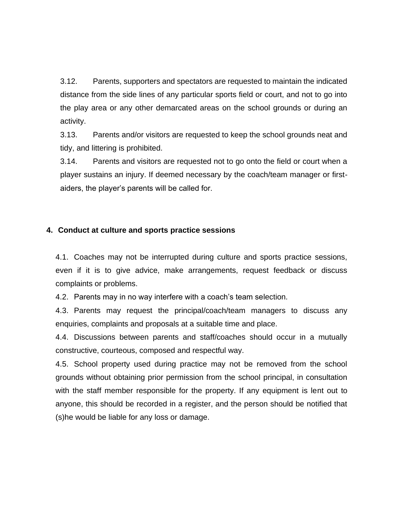3.12. Parents, supporters and spectators are requested to maintain the indicated distance from the side lines of any particular sports field or court, and not to go into the play area or any other demarcated areas on the school grounds or during an activity.

3.13. Parents and/or visitors are requested to keep the school grounds neat and tidy, and littering is prohibited.

3.14. Parents and visitors are requested not to go onto the field or court when a player sustains an injury. If deemed necessary by the coach/team manager or firstaiders, the player's parents will be called for.

#### **4. Conduct at culture and sports practice sessions**

4.1. Coaches may not be interrupted during culture and sports practice sessions, even if it is to give advice, make arrangements, request feedback or discuss complaints or problems.

4.2. Parents may in no way interfere with a coach's team selection.

4.3. Parents may request the principal/coach/team managers to discuss any enquiries, complaints and proposals at a suitable time and place.

4.4. Discussions between parents and staff/coaches should occur in a mutually constructive, courteous, composed and respectful way.

4.5. School property used during practice may not be removed from the school grounds without obtaining prior permission from the school principal, in consultation with the staff member responsible for the property. If any equipment is lent out to anyone, this should be recorded in a register, and the person should be notified that (s)he would be liable for any loss or damage.